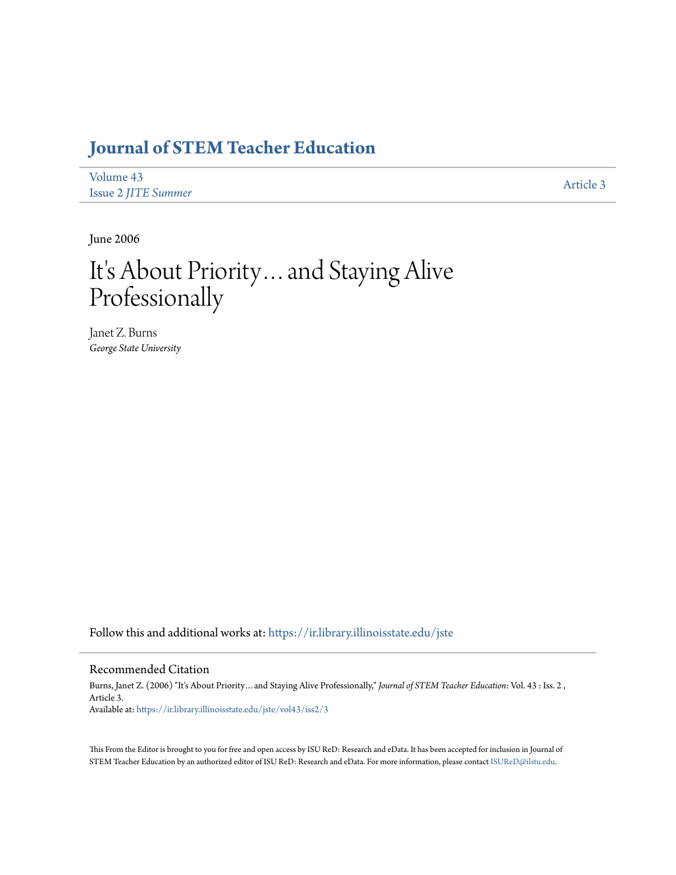## **[Journal of STEM Teacher Education](https://ir.library.illinoisstate.edu/jste?utm_source=ir.library.illinoisstate.edu%2Fjste%2Fvol43%2Fiss2%2F3&utm_medium=PDF&utm_campaign=PDFCoverPages)**

| Volume 43                  |           |
|----------------------------|-----------|
| <b>Issue 2 JITE Summer</b> | Article 3 |

June 2006

# It's About Priority…and Staying Alive Professionally

Janet Z. Burns *George State University*

Follow this and additional works at: [https://ir.library.illinoisstate.edu/jste](https://ir.library.illinoisstate.edu/jste?utm_source=ir.library.illinoisstate.edu%2Fjste%2Fvol43%2Fiss2%2F3&utm_medium=PDF&utm_campaign=PDFCoverPages)

#### Recommended Citation

Burns, Janet Z. (2006) "It's About Priority…and Staying Alive Professionally," *Journal of STEM Teacher Education*: Vol. 43 : Iss. 2 , Article 3. Available at: [https://ir.library.illinoisstate.edu/jste/vol43/iss2/3](https://ir.library.illinoisstate.edu/jste/vol43/iss2/3?utm_source=ir.library.illinoisstate.edu%2Fjste%2Fvol43%2Fiss2%2F3&utm_medium=PDF&utm_campaign=PDFCoverPages)

This From the Editor is brought to you for free and open access by ISU ReD: Research and eData. It has been accepted for inclusion in Journal of STEM Teacher Education by an authorized editor of ISU ReD: Research and eData. For more information, please contact [ISUReD@ilstu.edu.](mailto:ISUReD@ilstu.edu)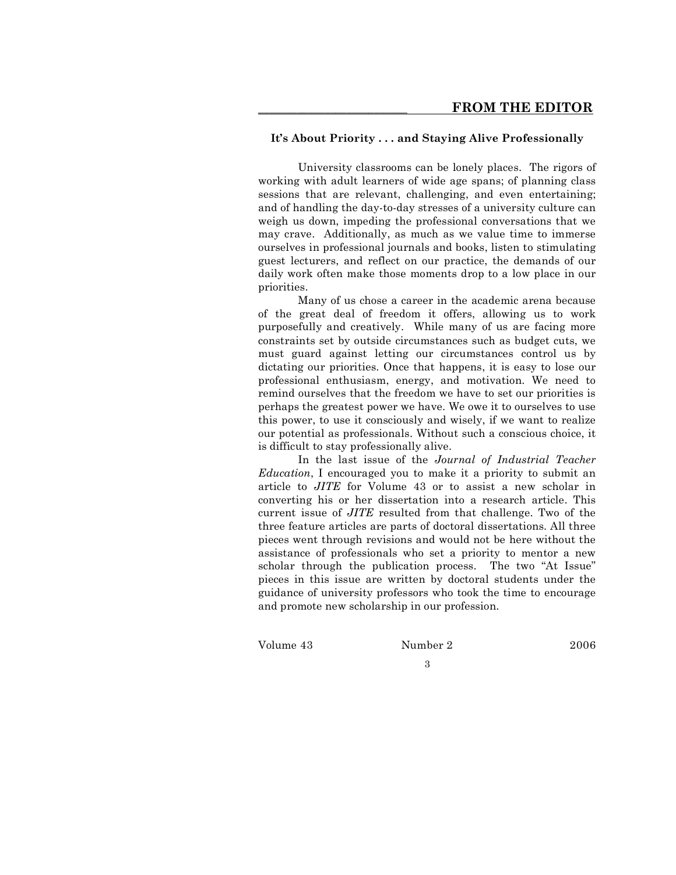#### **It's About Priority . . . and Staying Alive Professionally**

University classrooms can be lonely places. The rigors of working with adult learners of wide age spans; of planning class sessions that are relevant, challenging, and even entertaining; and of handling the day-to-day stresses of a university culture can weigh us down, impeding the professional conversations that we may crave. Additionally, as much as we value time to immerse ourselves in professional journals and books, listen to stimulating guest lecturers, and reflect on our practice, the demands of our daily work often make those moments drop to a low place in our priorities.

Many of us chose a career in the academic arena because of the great deal of freedom it offers, allowing us to work purposefully and creatively. While many of us are facing more constraints set by outside circumstances such as budget cuts, we must guard against letting our circumstances control us by dictating our priorities. Once that happens, it is easy to lose our professional enthusiasm, energy, and motivation. We need to remind ourselves that the freedom we have to set our priorities is perhaps the greatest power we have. We owe it to ourselves to use this power, to use it consciously and wisely, if we want to realize our potential as professionals. Without such a conscious choice, it is difficult to stay professionally alive.

In the last issue of the *Journal of Industrial Teacher Education*, I encouraged you to make it a priority to submit an article to *JITE* for Volume 43 or to assist a new scholar in converting his or her dissertation into a research article. This current issue of *JITE* resulted from that challenge. Two of the three feature articles are parts of doctoral dissertations. All three pieces went through revisions and would not be here without the assistance of professionals who set a priority to mentor a new scholar through the publication process. The two "At Issue" pieces in this issue are written by doctoral students under the guidance of university professors who took the time to encourage and promote new scholarship in our profession.

Volume 43 Number 2 2006

3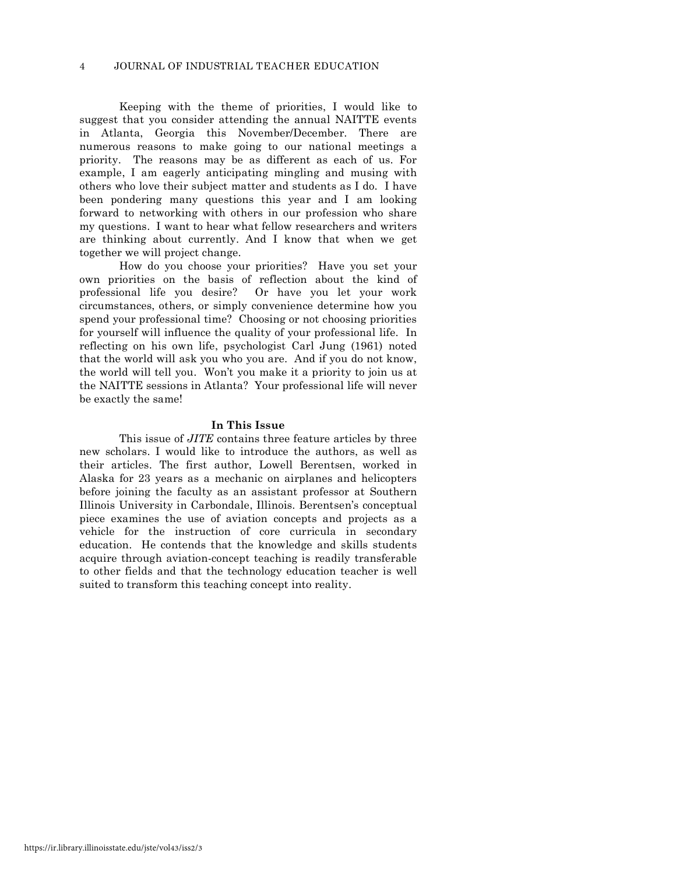Keeping with the theme of priorities, I would like to suggest that you consider attending the annual NAITTE events in Atlanta, Georgia this November/December. There are numerous reasons to make going to our national meetings a priority. The reasons may be as different as each of us. For example, I am eagerly anticipating mingling and musing with others who love their subject matter and students as I do. I have been pondering many questions this year and I am looking forward to networking with others in our profession who share my questions. I want to hear what fellow researchers and writers are thinking about currently. And I know that when we get together we will project change.

How do you choose your priorities? Have you set your own priorities on the basis of reflection about the kind of professional life you desire? Or have you let your work circumstances, others, or simply convenience determine how you spend your professional time? Choosing or not choosing priorities for yourself will influence the quality of your professional life. In reflecting on his own life, psychologist Carl Jung (1961) noted that the world will ask you who you are. And if you do not know, the world will tell you. Won't you make it a priority to join us at the NAITTE sessions in Atlanta? Your professional life will never be exactly the same!

#### **In This Issue**

This issue of *JITE* contains three feature articles by three new scholars. I would like to introduce the authors, as well as their articles. The first author, Lowell Berentsen, worked in Alaska for 23 years as a mechanic on airplanes and helicopters before joining the faculty as an assistant professor at Southern Illinois University in Carbondale, Illinois. Berentsen's conceptual piece examines the use of aviation concepts and projects as a vehicle for the instruction of core curricula in secondary education. He contends that the knowledge and skills students acquire through aviation-concept teaching is readily transferable to other fields and that the technology education teacher is well suited to transform this teaching concept into reality.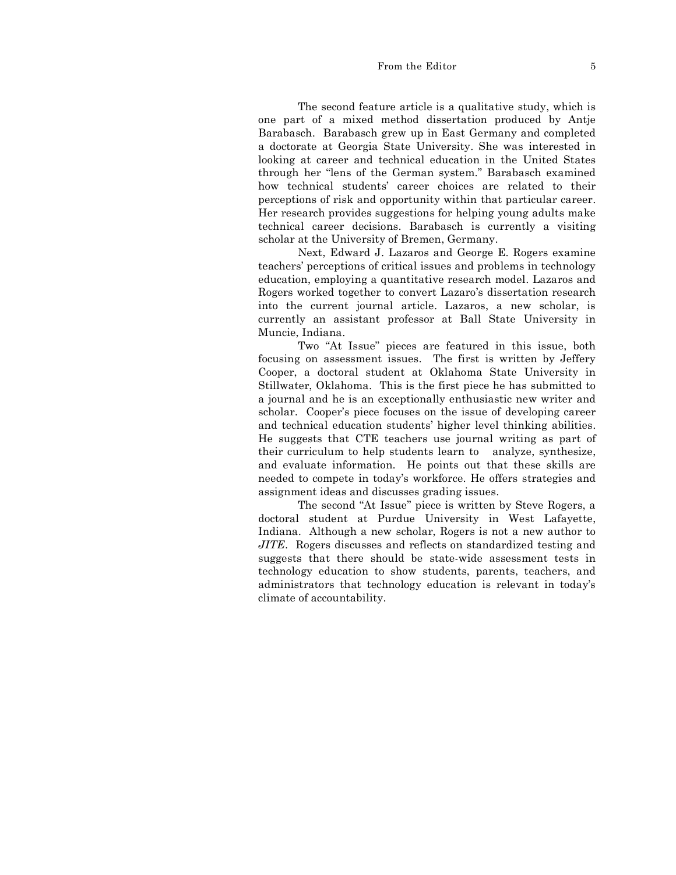#### From the Editor 5

The second feature article is a qualitative study, which is one part of a mixed method dissertation produced by Antje Barabasch. Barabasch grew up in East Germany and completed a doctorate at Georgia State University. She was interested in looking at career and technical education in the United States through her "lens of the German system." Barabasch examined how technical students' career choices are related to their perceptions of risk and opportunity within that particular career. Her research provides suggestions for helping young adults make technical career decisions. Barabasch is currently a visiting scholar at the University of Bremen, Germany.

Next, Edward J. Lazaros and George E. Rogers examine teachers' perceptions of critical issues and problems in technology education, employing a quantitative research model. Lazaros and Rogers worked together to convert Lazaro's dissertation research into the current journal article. Lazaros, a new scholar, is currently an assistant professor at Ball State University in Muncie, Indiana.

Two "At Issue" pieces are featured in this issue, both focusing on assessment issues. The first is written by Jeffery Cooper, a doctoral student at Oklahoma State University in Stillwater, Oklahoma. This is the first piece he has submitted to a journal and he is an exceptionally enthusiastic new writer and scholar. Cooper's piece focuses on the issue of developing career and technical education students' higher level thinking abilities. He suggests that CTE teachers use journal writing as part of their curriculum to help students learn to analyze, synthesize, and evaluate information. He points out that these skills are needed to compete in today's workforce. He offers strategies and assignment ideas and discusses grading issues.

The second "At Issue" piece is written by Steve Rogers, a doctoral student at Purdue University in West Lafayette, Indiana. Although a new scholar, Rogers is not a new author to *JITE*. Rogers discusses and reflects on standardized testing and suggests that there should be state-wide assessment tests in technology education to show students, parents, teachers, and administrators that technology education is relevant in today's climate of accountability.